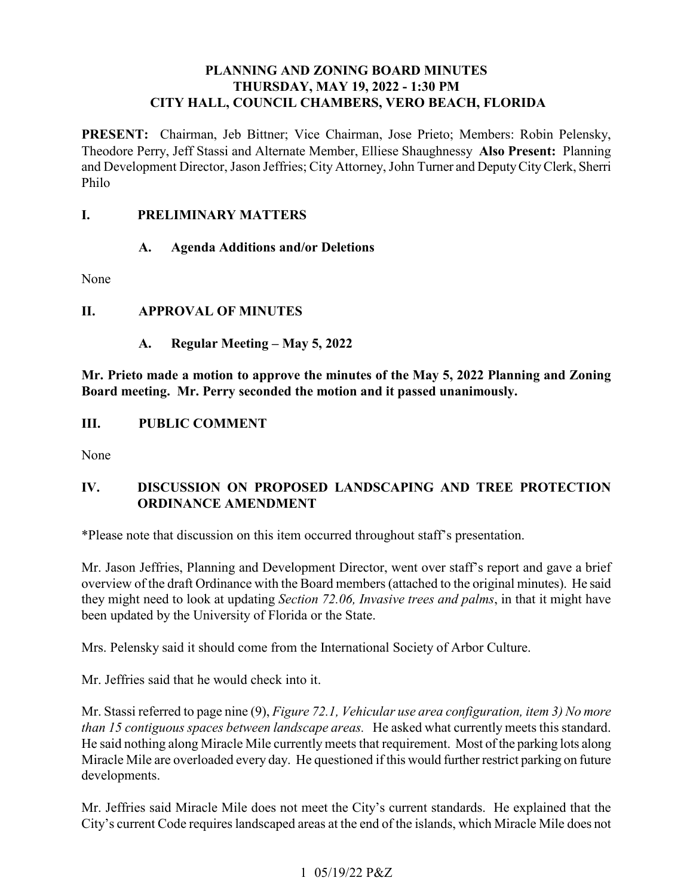# **PLANNING AND ZONING BOARD MINUTES THURSDAY, MAY 19, 2022 - 1:30 PM CITY HALL, COUNCIL CHAMBERS, VERO BEACH, FLORIDA**

PRESENT: Chairman, Jeb Bittner; Vice Chairman, Jose Prieto; Members: Robin Pelensky, Theodore Perry, Jeff Stassi and Alternate Member, Elliese Shaughnessy **Also Present:** Planning and Development Director, Jason Jeffries; City Attorney, John Turner and Deputy City Clerk, Sherri Philo

### *<u>L</u>* **I. PRELIMINARY MATTERS**

# **A. Agenda Additions and/or Deletions**

None

# **II. APPROVAL OF MINUTES**

**A. Regular Meeting – May 5, 2022** 

 **Mr. Prieto made a motion to approve the minutes of the May 5, 2022 Planning and Zoning Board meeting. Mr. Perry seconded the motion and it passed unanimously.** 

### **III**. **III. PUBLIC COMMENT**

None

### **IV. DISCUSSION ON PROPOSED LANDSCAPING AND TREE PROTECTION ORDINANCE AMENDMENT**

\*Please note that discussion on this item occurred throughout staff's presentation.

 overview of the draft Ordinance with the Board members (attached to the original minutes). He said Mr. Jason Jeffries, Planning and Development Director, went over staff's report and gave a brief they might need to look at updating *Section 72.06, Invasive trees and palms*, in that it might have been updated by the University of Florida or the State.

Mrs. Pelensky said it should come from the International Society of Arbor Culture.

Mr. Jeffries said that he would check into it.

 Mr. Stassi referred to page nine (9), *Figure 72.1, Vehicular use area configuration, item 3) No more*  He said nothing along Miracle Mile currently meets that requirement. Most of the parking lots along Miracle Mile are overloaded every day. He questioned if this would further restrict parking on future *than 15 contiguous spaces between landscape areas.* He asked what currently meets this standard. developments.

 Mr. Jeffries said Miracle Mile does not meet the City's current standards. He explained that the City's current Code requires landscaped areas at the end of the islands, which Miracle Mile does not

## 1 05/19/22 P&Z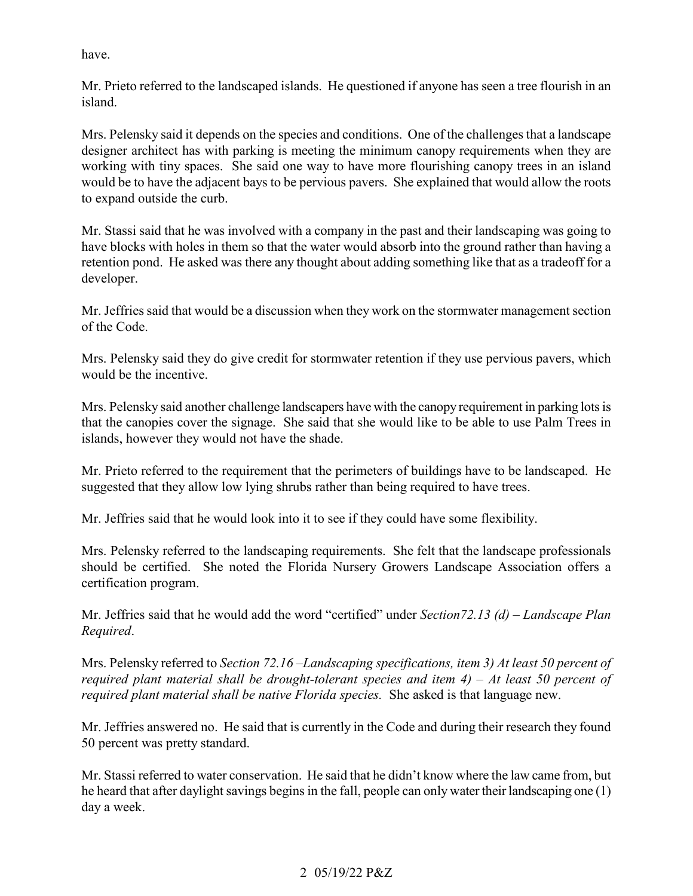have.

 Mr. Prieto referred to the landscaped islands. He questioned if anyone has seen a tree flourish in an island.

 designer architect has with parking is meeting the minimum canopy requirements when they are working with tiny spaces. She said one way to have more flourishing canopy trees in an island would be to have the adjacent bays to be pervious pavers. She explained that would allow the roots Mrs. Pelensky said it depends on the species and conditions. One of the challenges that a landscape to expand outside the curb.

 have blocks with holes in them so that the water would absorb into the ground rather than having a retention pond. He asked was there any thought about adding something like that as a tradeoff for a Mr. Stassi said that he was involved with a company in the past and their landscaping was going to developer.

 Mr. Jeffries said that would be a discussion when they work on the stormwater management section of the Code.

 Mrs. Pelensky said they do give credit for stormwater retention if they use pervious pavers, which would be the incentive.

Mrs. Pelensky said another challenge landscapers have with the canopy requirement in parking lots is that the canopies cover the signage. She said that she would like to be able to use Palm Trees in islands, however they would not have the shade.

Mr. Prieto referred to the requirement that the perimeters of buildings have to be landscaped. He suggested that they allow low lying shrubs rather than being required to have trees.

Mr. Jeffries said that he would look into it to see if they could have some flexibility.

 Mrs. Pelensky referred to the landscaping requirements. She felt that the landscape professionals should be certified. She noted the Florida Nursery Growers Landscape Association offers a certification program.

certification program.<br>Mr. Jeffries said that he would add the word ''certified'' under *[Section72.13](https://Section72.13) (d) – Landscape Plan Required*.

 *required plant material shall be drought-tolerant species and item 4) – At least 50 percent of*  Mrs. Pelensky referred to *Section 72.16 –Landscaping specifications, item 3) At least 50 percent of required plant material shall be native Florida species.* She asked is that language new.

Mr. Jeffries answered no. He said that is currently in the Code and during their research they found 50 percent was pretty standard.

 Mr. Stassi referred to water conservation. He said that he didn't know where the law came from, but he heard that after daylight savings begins in the fall, people can only water their landscaping one (1) day a week. day a week.  $2 \frac{05}{19/22} P&Z$ 

# 2 05/19/22 P&Z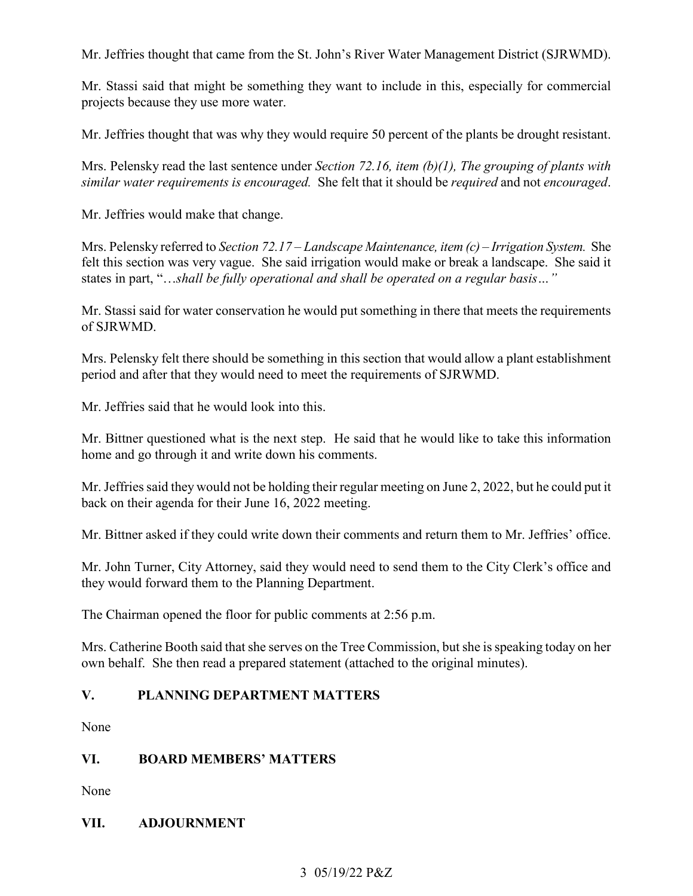Mr. Jeffries thought that came from the St. John's River Water Management District (SJRWMD).

Mr. Stassi said that might be something they want to include in this, especially for commercial projects because they use more water.

Mr. Jeffries thought that was why they would require 50 percent of the plants be drought resistant.

 Mrs. Pelensky read the last sentence under *Section 72.16, item (b)(1), The grouping of plants with similar water requirements is encouraged.* She felt that it should be *required* and not *encouraged*.

Mr. Jeffries would make that change.

 felt this section was very vague. She said irrigation would make or break a landscape. She said it  states in part, "…*shall be fully operational and shall be operated on a regular basis…"* Mrs. Pelensky referred to *Section 72.17 – Landscape Maintenance, item (c) – Irrigation System.* She

Mr. Stassi said for water conservation he would put something in there that meets the requirements of SJRWMD.

Mrs. Pelensky felt there should be something in this section that would allow a plant establishment period and after that they would need to meet the requirements of SJRWMD.

Mr. Jeffries said that he would look into this.

Mr. Bittner questioned what is the next step. He said that he would like to take this information home and go through it and write down his comments.

Mr. Jeffries said they would not be holding their regular meeting on June 2, 2022, but he could put it back on their agenda for their June 16, 2022 meeting.

Mr. Bittner asked if they could write down their comments and return them to Mr. Jeffries' office.

Mr. John Turner, City Attorney, said they would need to send them to the City Clerk's office and they would forward them to the Planning Department.

The Chairman opened the floor for public comments at 2:56 p.m.

 own behalf. She then read a prepared statement (attached to the original minutes). Mrs. Catherine Booth said that she serves on the Tree Commission, but she is speaking today on her

### **V**. **V. PLANNING DEPARTMENT MATTERS**

None

### **VI. VI. BOARD MEMBERS' MATTERS**

None

### **VII. ADJOURNMENT**

### 3 05/19/22 P&Z